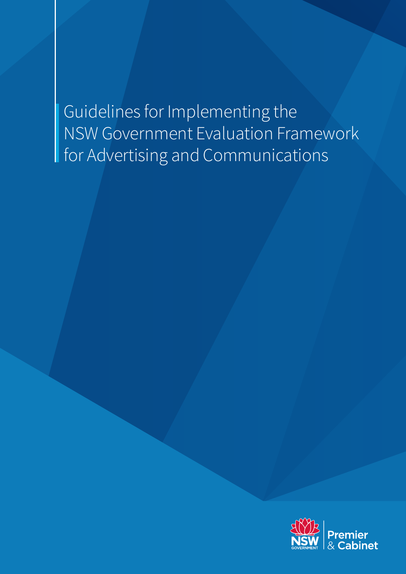## Guidelines for Implementing the NSW Government Evaluation Framework for Advertising and Communications

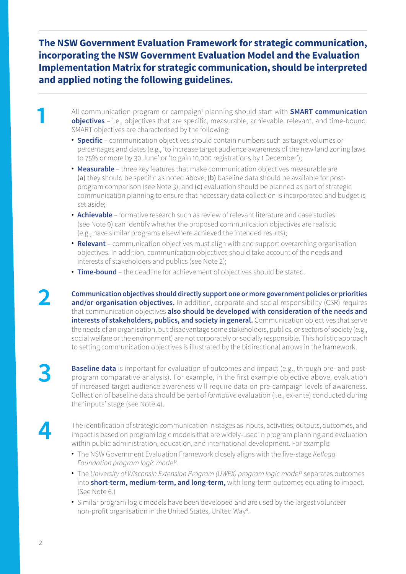**The NSW Government Evaluation Framework for strategic communication, incorporating the NSW Government Evaluation Model and the Evaluation Implementation Matrix for strategic communication, should be interpreted and applied noting the following guidelines.**

All communication program or campaign<sup>1</sup> planning should start with **SMART communication**<br> **1 objectives** – i.e., objectives that are specific, measurable, achievable, relevant, and time-bound.<br>
SMART objectives are char **objectives** – i.e., objectives that are specific, measurable, achievable, relevant, and time-bound. SMART objectives are characterised by the following:

- **Specific** communication objectives should contain numbers such as target volumes or percentages and dates (e.g., 'to increase target audience awareness of the new land zoning laws to 75% or more by 30 June' or 'to gain 10,000 registrations by 1 December');
- **Measurable** three key features that make communication objectives measurable are (a) they should be specific as noted above; (b) baseline data should be available for postprogram comparison (see Note 3); and (c) evaluation should be planned as part of strategic communication planning to ensure that necessary data collection is incorporated and budget is set aside;
- **Achievable** formative research such as review of relevant literature and case studies (see Note 9) can identify whether the proposed communication objectives are realistic (e.g., have similar programs elsewhere achieved the intended results);
- **Relevant** communication objectives must align with and support overarching organisation objectives. In addition, communication objectives should take account of the needs and interests of stakeholders and publics (see Note 2);
- **Time-bound** the deadline for achievement of objectives should be stated.

**2 Communication objectives should directly support one or more government policies or priorities and/or organisation objectives.** In addition, corporate and social responsibility (CSR) requires that communication objectives **also should be developed with consideration of the needs and interests of stakeholders, publics, and society in general.** Communication objectives that serve the needs of an organisation, but disadvantage some stakeholders, publics, or sectors of society (e.g., social welfare or the environment) are not corporately or socially responsible. This holistic approach to setting communication objectives is illustrated by the bidirectional arrows in the framework.

**Baseline data** is important for evaluation of outcomes and impact (e.g., through pre- and postprogram comparative analysis). For example, in the first example objective above, evaluation of increased target audience awareness will require data on pre-campaign levels of awareness. Collection of baseline data should be part of *formative* evaluation (i.e., ex-ante) conducted during the 'inputs' stage (see Note 4).

The identification of strategic communication in stages as inputs, activities, outputs, outcomes, and<br>
impact is based on program logic models that are widely-used in program planning and evaluation<br>
within public administ within public administration, education, and international development. For example:

- The NSW Government Evaluation Framework closely aligns with the five-stage *Kellogg Foundation program logic model2* .
- The University of Wisconsin Extension Program (UWEX) program logic model<sup>3</sup> separates outcomes into **short-term, medium-term, and long-term,** with long-term outcomes equating to impact. (See Note 6.)
- Similar program logic models have been developed and are used by the largest volunteer non-profit organisation in the United States, United Way4 .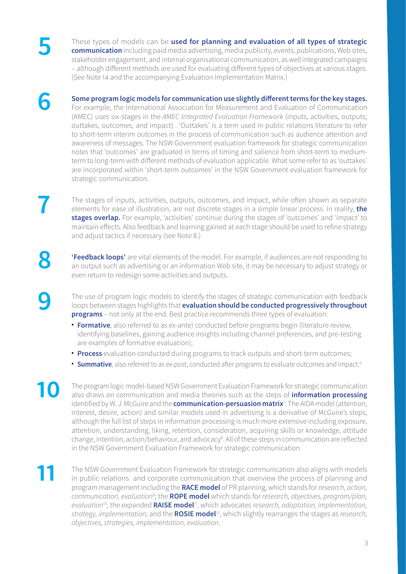These types of models can be **used for planning and evaluation of all types of strategic communication** including paid media advertising, media publicity, events, publications, Web sites, etakeholder engagement, and intern stakeholder engagement, and internal organisational communication, as well integrated campaigns – although different methods are used for evaluating different types of objectives at various stages. (See Note 14 and the accompanying Evaluation Implementation Matrix.)

**6 Some program logic models for communication use slightly different terms for the key stages.** 

For example, the International Association for Measurement and Evaluation of Communication (AMEC) uses six-stages in the *AMEC Integrated Evaluation Framework* (inputs, activities, outputs, outtakes, outcomes, and impact) . 'Outtakes' is a term used in public relations literature to refer to short-term interim outcomes in the process of communication such as audience attention and awareness of messages. The NSW Government evaluation framework for strategic communication notes that 'outcomes' are graduated in terms of timing and salience from short-term to mediumterm to long-term with different methods of evaluation applicable. What some refer to as 'outtakes' are incorporated within 'short-term outcomes' in the NSW Government evaluation framework for strategic communication.

The stages of inputs, activities, outputs, outcomes, and impact, while often shown as separate elements for ease of illustration, are not discrete stages in a simple linear process. In reality, **the stages overlan** For e **stages overlap.** For example, 'activities' continue during the stages of 'outcomes' and 'impact' to maintain effects. Also feedback and learning gained at each stage should be used to refine strategy and adjust tactics if necessary (see Note 8.)

**8 'Feedback loops'** are vital elements of the model. For example, if audiences are not responding to<br>an output such as advertising or an information Web site, it may be necessary to adjust strategy or an output such as advertising or an information Web site, it may be necessary to adjust strategy or even return to redesign some activities and outputs.

**9** The use of program logic models to identify the stages of strategic communication with feedback loops between stages highlights that **evaluation should be conducted progressively throughout programs** – not only at the end. Best practice recommends three types of evaluation:

- **Formative**, also referred to as ex-ante) conducted before programs begin (literature review, identifying baselines, gaining audience insights including channel preferences, and pre-testing are examples of formative evaluation);
- **Process** evaluation conducted during programs to track outputs and short-term outcomes;
- **Summative**, also referred to as ex-post, conducted after programs to evaluate outcomes and impact.<sup>6</sup>

The program logic model-based NSW Government Evaluation Framework for strategic communication<br>also draws on communication and media theories such as the steps of **information processing**<br>identified by W. J. McGuire and the identified by W. J. McGuire and the **communication-persuasion matrix**<sup>7</sup> . The AIDA model (attention, interest, desire, action) and similar models used in advertising is a derivative of McGuire's steps, although the full list of steps in information processing is much more extensive including exposure, attention, understanding, liking, retention, consideration, acquiring skills or knowledge, attitude change, intention, action/behaviour, and advocacy<sup>8</sup>. All of these steps in communication are reflected in the NSW Government Evaluation Framework for strategic communication.

**11** The NSW Government Evaluation Framework for strategic communication also aligns with models in public relations and corporate communication that overview the process of planning and program management including the **RACE model** of PR planning, which stands for *research, action, communication, evaluation*<sup>9</sup> ; the **ROPE model** which stands for *research, objectives, program/plan, evaluation*10; the expanded **RAISE model**11, which advocates *research, adaptation, implementation, strategy, implementation*; and the **ROSIE model**12, which slightly rearranges the stages as *research, objectives, strategies, implementation, evaluation*.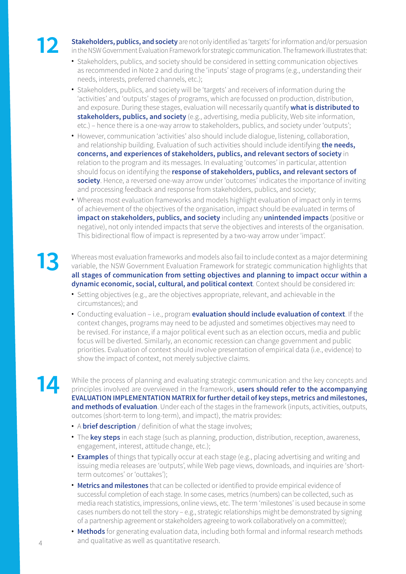**12 Stakeholders, publics, and society** are not only identified as 'targets' for information and/or persuasion<br>in the NSW Government Evaluation Framework for strategic communication. The framework illustrates that: in the NSW Government Evaluation Framework for strategic communication. The framework illustrates that:

- Stakeholders, publics, and society should be considered in setting communication objectives as recommended in Note 2 and during the 'inputs' stage of programs (e.g., understanding their needs, interests, preferred channels, etc.);
- Stakeholders, publics, and society will be 'targets' and receivers of information during the 'activities' and 'outputs' stages of programs, which are focussed on production, distribution, and exposure. During these stages, evaluation will necessarily quantify **what is distributed to stakeholders, publics, and society** (e.g., advertising, media publicity, Web site information, etc.) – hence there is a one-way arrow to stakeholders, publics, and society under 'outputs';
- However, communication 'activities' also should include dialogue, listening, collaboration, and relationship building. Evaluation of such activities should include identifying **the needs, concerns, and experiences of stakeholders, publics, and relevant sectors of society** in relation to the program and its messages. In evaluating 'outcomes' in particular, attention should focus on identifying the **response of stakeholders, publics, and relevant sectors of society**. Hence, a reversed one-way arrow under 'outcomes' indicates the importance of inviting and processing feedback and response from stakeholders, publics, and society;
- Whereas most evaluation frameworks and models highlight evaluation of impact only in terms of achievement of the objectives of the organisation, impact should be evaluated in terms of **impact on stakeholders, publics, and society** including any **unintended impacts** (positive or negative), not only intended impacts that serve the objectives and interests of the organisation. This bidirectional flow of impact is represented by a two-way arrow under 'impact'.

**13** Whereas most evaluation frameworks and models also fail to include context as a major determining variable, the NSW Government Evaluation Framework for strategic communication highlights that **all stages of communication from setting objectives and planning to impact occur within a dynamic economic, social, cultural, and political context**. Context should be considered in:

- Setting objectives (e.g., are the objectives appropriate, relevant, and achievable in the circumstances); and
- Conducting evaluation i.e., program **evaluation should include evaluation of context**. If the context changes, programs may need to be adjusted and sometimes objectives may need to be revised. For instance, if a major political event such as an election occurs, media and public focus will be diverted. Similarly, an economic recession can change government and public priorities. Evaluation of context should involve presentation of empirical data (i.e., evidence) to show the impact of context, not merely subjective claims.

While the process of planning and evaluating strategic communication and the key concepts and principles involved are overviewed in the framework, **users should refer to the accompanying**<br>**EVALUATION IMPLEMENTATION MATPIX EVALUATION IMPLEMENTATION MATRIX for further detail of key steps, metrics and milestones, and methods of evaluation**. Under each of the stages in the framework (inputs, activities, outputs, outcomes (short-term to long-term), and impact), the matrix provides:

- A **brief description** / definition of what the stage involves;
- The **key steps** in each stage (such as planning, production, distribution, reception, awareness, engagement, interest, attitude change, etc.);
- **Examples** of things that typically occur at each stage (e.g., placing advertising and writing and issuing media releases are 'outputs', while Web page views, downloads, and inquiries are 'shortterm outcomes' or 'outtakes');
- **Metrics and milestones** that can be collected or identified to provide empirical evidence of successful completion of each stage. In some cases, metrics (numbers) can be collected, such as media reach statistics, impressions, online views, etc. The term 'milestones' is used because in some cases numbers do not tell the story – e.g., strategic relationships might be demonstrated by signing of a partnership agreement or stakeholders agreeing to work collaboratively on a committee);
- **Methods** for generating evaluation data, including both formal and informal research methods and qualitative as well as quantitative research.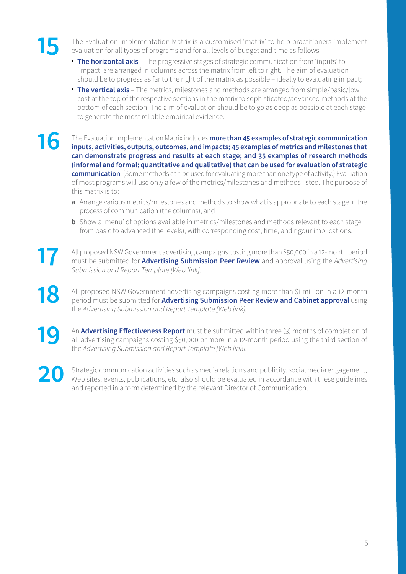The Evaluation Implementation Matrix is a customised 'matrix' to help practitioners implement<br>evaluation for all types of programs and for all levels of budget and time as follows: evaluation for all types of programs and for all levels of budget and time as follows:

- **The horizontal axis** The progressive stages of strategic communication from 'inputs' to 'impact' are arranged in columns across the matrix from left to right. The aim of evaluation should be to progress as far to the right of the matrix as possible – ideally to evaluating impact;
- **The vertical axis** The metrics, milestones and methods are arranged from simple/basic/low cost at the top of the respective sections in the matrix to sophisticated/advanced methods at the bottom of each section. The aim of evaluation should be to go as deep as possible at each stage to generate the most reliable empirical evidence.

The Evaluation Implementation Matrix includes **more than 45 examples of strategic communication**<br> **16** inputs, activities, outputs, outcomes, and impacts; 45 examples of metrics and milestones that **inputs, activities, outputs, outcomes, and impacts; 45 examples of metrics and milestones that can demonstrate progress and results at each stage; and 35 examples of research methods (informal and formal; quantitative and qualitative) that can be used for evaluation of strategic communication**. (Some methods can be used for evaluating more than one type of activity.) Evaluation of most programs will use only a few of the metrics/milestones and methods listed. The purpose of this matrix is to:

- **a** Arrange various metrics/milestones and methods to show what is appropriate to each stage in the process of communication (the columns); and
- **b** Show a 'menu' of options available in metrics/milestones and methods relevant to each stage from basic to advanced (the levels), with corresponding cost, time, and rigour implications.

17 All proposed NSW Government advertising campaigns costing more than \$50,000 in a 12-month period<br>must be submitted for **Advertising Submission Peer Review** and approval using the Advertising must be submitted for **Advertising Submission Peer Review** and approval using the *Advertising Submission and Report Template [Web link]*.

all proposed NSW Government advertising campaigns costing more than \$1 million in a 12-month<br>period must be submitted for **Advertising Submission Peer Review and Cabinet approval** using<br>the *Advertising Submission and Repo* the *Advertising Submission and Report Template [Web link].*

**19** An **Advertising Effectiveness Report** must be submitted within three (3) months of completion of all advertising campaigns costing \$50,000 or more in a 12-month period using the third section of the *Advertising Submi* all advertising campaigns costing \$50,000 or more in a 12-month period using the third section of the *Advertising Submission and Report Template [Web link].*

**20** Strategic communication activities such as media relations and publicity, social media engagement, Web sites, events, publications, etc. also should be evaluated in accordance with these guidelines and reported in a form determined by the relevant Director of Communication.